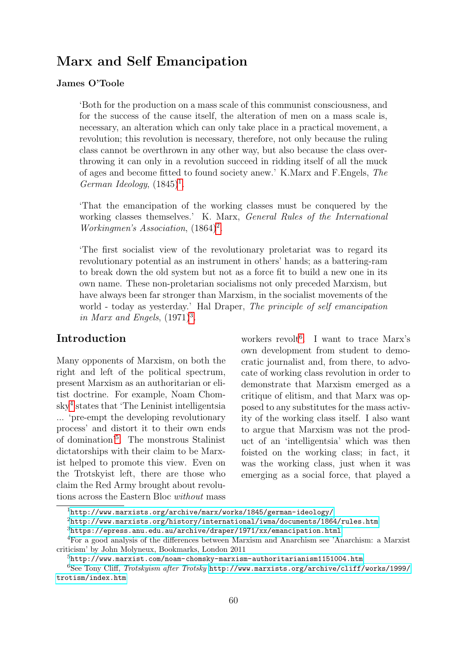# Marx and Self Emancipation

#### James O'Toole

'Both for the production on a mass scale of this communist consciousness, and for the success of the cause itself, the alteration of men on a mass scale is, necessary, an alteration which can only take place in a practical movement, a revolution; this revolution is necessary, therefore, not only because the ruling class cannot be overthrown in any other way, but also because the class overthrowing it can only in a revolution succeed in ridding itself of all the muck of ages and become fitted to found society anew.' K.Marx and F.Engels, The German Ideology,  $(1845)^1$  $(1845)^1$  $(1845)^1$ .

'That the emancipation of the working classes must be conquered by the working classes themselves.' K. Marx, General Rules of the International Workingmen's Association,  $(1864)^2$  $(1864)^2$ .

'The first socialist view of the revolutionary proletariat was to regard its revolutionary potential as an instrument in others' hands; as a battering-ram to break down the old system but not as a force fit to build a new one in its own name. These non-proletarian socialisms not only preceded Marxism, but have always been far stronger than Marxism, in the socialist movements of the world - today as yesterday.' Hal Draper, The principle of self emancipation in Marx and Engels,  $(1971)^3$  $(1971)^3$ .

### Introduction

Many opponents of Marxism, on both the right and left of the political spectrum, present Marxism as an authoritarian or elitist doctrine. For example, Noam Chomsky[4](#page-0-3) states that 'The Leninist intelligentsia ... 'pre-empt the developing revolutionary process' and distort it to their own ends of domination'[5](#page-0-4) . The monstrous Stalinist dictatorships with their claim to be Marxist helped to promote this view. Even on the Trotskyist left, there are those who claim the Red Army brought about revolutions across the Eastern Bloc without mass workers revolt<sup>[6](#page-0-5)</sup>. I want to trace Marx's own development from student to democratic journalist and, from there, to advocate of working class revolution in order to demonstrate that Marxism emerged as a critique of elitism, and that Marx was opposed to any substitutes for the mass activity of the working class itself. I also want to argue that Marxism was not the product of an 'intelligentsia' which was then foisted on the working class; in fact, it was the working class, just when it was emerging as a social force, that played a

<span id="page-0-0"></span> $1$ <http://www.marxists.org/archive/marx/works/1845/german-ideology/>

<span id="page-0-1"></span> $^{2}$ [http://www.marxists.org/history/international/iwma/documents/1864/rules.htm]( http://www.marxists.org/history/international/iwma/documents/1864/rules.htm )

<span id="page-0-3"></span><span id="page-0-2"></span> $3$ [https://epress.anu.edu.au/archive/draper/1971/xx/emancipation.html]( https://epress.anu.edu.au/archive/draper/1971/xx/emancipation.html)

<sup>4</sup>For a good analysis of the differences between Marxism and Anarchism see 'Anarchism: a Marxist criticism' by John Molyneux, Bookmarks, London 2011

<span id="page-0-5"></span><span id="page-0-4"></span> $5$ <http://www.marxist.com/noam-chomsky-marxism-authoritarianism1151004.htm>

 $6$ See Tony Cliff, Trotskyism after Trotsky [http://www.marxists.org/archive/cliff/works/1999/]( http://www.marxists.org/archive/cliff/works/1999/trotism/index.htm) [trotism/index.htm]( http://www.marxists.org/archive/cliff/works/1999/trotism/index.htm)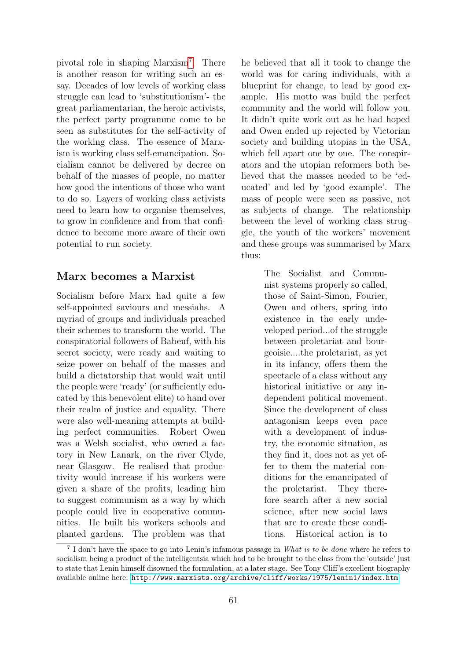pivotal role in shaping Marxism[7](#page-1-0) . There is another reason for writing such an essay. Decades of low levels of working class struggle can lead to 'substitutionism'- the great parliamentarian, the heroic activists, the perfect party programme come to be seen as substitutes for the self-activity of the working class. The essence of Marxism is working class self-emancipation. Socialism cannot be delivered by decree on behalf of the masses of people, no matter how good the intentions of those who want to do so. Layers of working class activists need to learn how to organise themselves, to grow in confidence and from that confidence to become more aware of their own potential to run society.

### Marx becomes a Marxist

Socialism before Marx had quite a few self-appointed saviours and messiahs. A myriad of groups and individuals preached their schemes to transform the world. The conspiratorial followers of Babeuf, with his secret society, were ready and waiting to seize power on behalf of the masses and build a dictatorship that would wait until the people were 'ready' (or sufficiently educated by this benevolent elite) to hand over their realm of justice and equality. There were also well-meaning attempts at building perfect communities. Robert Owen was a Welsh socialist, who owned a factory in New Lanark, on the river Clyde, near Glasgow. He realised that productivity would increase if his workers were given a share of the profits, leading him to suggest communism as a way by which people could live in cooperative communities. He built his workers schools and planted gardens. The problem was that he believed that all it took to change the world was for caring individuals, with a blueprint for change, to lead by good example. His motto was build the perfect community and the world will follow you. It didn't quite work out as he had hoped and Owen ended up rejected by Victorian society and building utopias in the USA, which fell apart one by one. The conspirators and the utopian reformers both believed that the masses needed to be 'educated' and led by 'good example'. The mass of people were seen as passive, not as subjects of change. The relationship between the level of working class struggle, the youth of the workers' movement and these groups was summarised by Marx thus:

> The Socialist and Communist systems properly so called, those of Saint-Simon, Fourier, Owen and others, spring into existence in the early undeveloped period...of the struggle between proletariat and bourgeoisie....the proletariat, as yet in its infancy, offers them the spectacle of a class without any historical initiative or any independent political movement. Since the development of class antagonism keeps even pace with a development of industry, the economic situation, as they find it, does not as yet offer to them the material conditions for the emancipated of the proletariat. They therefore search after a new social science, after new social laws that are to create these conditions. Historical action is to

<span id="page-1-0"></span><sup>&</sup>lt;sup>7</sup> I don't have the space to go into Lenin's infamous passage in *What is to be done* where he refers to socialism being a product of the intelligentsia which had to be brought to the class from the 'outside' just to state that Lenin himself disowned the formulation, at a later stage. See Tony Cliff's excellent biography available online here: <http://www.marxists.org/archive/cliff/works/1975/lenin1/index.htm>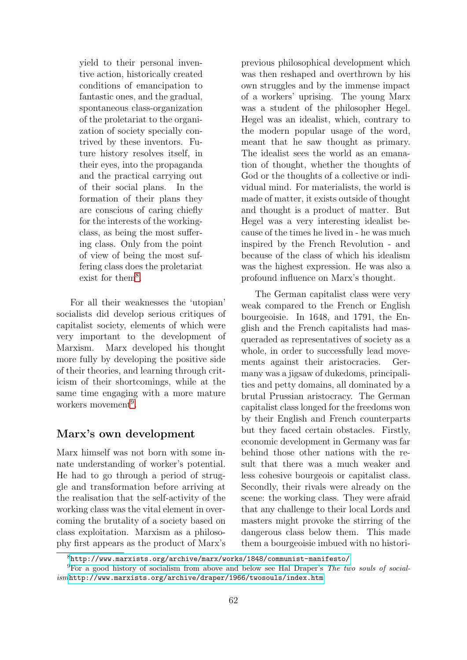yield to their personal inventive action, historically created conditions of emancipation to fantastic ones, and the gradual, spontaneous class-organization of the proletariat to the organization of society specially contrived by these inventors. Future history resolves itself, in their eyes, into the propaganda and the practical carrying out of their social plans. In the formation of their plans they are conscious of caring chiefly for the interests of the workingclass, as being the most suffering class. Only from the point of view of being the most suffering class does the proletariat exist for them<sup>[8](#page-2-0)</sup>.

For all their weaknesses the 'utopian' socialists did develop serious critiques of capitalist society, elements of which were very important to the development of Marxism. Marx developed his thought more fully by developing the positive side of their theories, and learning through criticism of their shortcomings, while at the same time engaging with a more mature workers movement<sup>[9](#page-2-1)</sup>.

#### Marx's own development

Marx himself was not born with some innate understanding of worker's potential. He had to go through a period of struggle and transformation before arriving at the realisation that the self-activity of the working class was the vital element in overcoming the brutality of a society based on class exploitation. Marxism as a philosophy first appears as the product of Marx's previous philosophical development which was then reshaped and overthrown by his own struggles and by the immense impact of a workers' uprising. The young Marx was a student of the philosopher Hegel. Hegel was an idealist, which, contrary to the modern popular usage of the word, meant that he saw thought as primary. The idealist sees the world as an emanation of thought, whether the thoughts of God or the thoughts of a collective or individual mind. For materialists, the world is made of matter, it exists outside of thought and thought is a product of matter. But Hegel was a very interesting idealist because of the times he lived in - he was much inspired by the French Revolution - and because of the class of which his idealism was the highest expression. He was also a profound influence on Marx's thought.

The German capitalist class were very weak compared to the French or English bourgeoisie. In 1648, and 1791, the English and the French capitalists had masqueraded as representatives of society as a whole, in order to successfully lead movements against their aristocracies. Germany was a jigsaw of dukedoms, principalities and petty domains, all dominated by a brutal Prussian aristocracy. The German capitalist class longed for the freedoms won by their English and French counterparts but they faced certain obstacles. Firstly, economic development in Germany was far behind those other nations with the result that there was a much weaker and less cohesive bourgeois or capitalist class. Secondly, their rivals were already on the scene: the working class. They were afraid that any challenge to their local Lords and masters might provoke the stirring of the dangerous class below them. This made them a bourgeoisie imbued with no histori-

<span id="page-2-1"></span><span id="page-2-0"></span><sup>8</sup><http://www.marxists.org/archive/marx/works/1848/communist-manifesto/>

<sup>9</sup>For a good history of socialism from above and below see Hal Draper's The two souls of socialism[http://www.marxists.org/archive/draper/1966/twosouls/index.htm]( http://www.marxists.org/archive/draper/1966/twosouls/index.htm)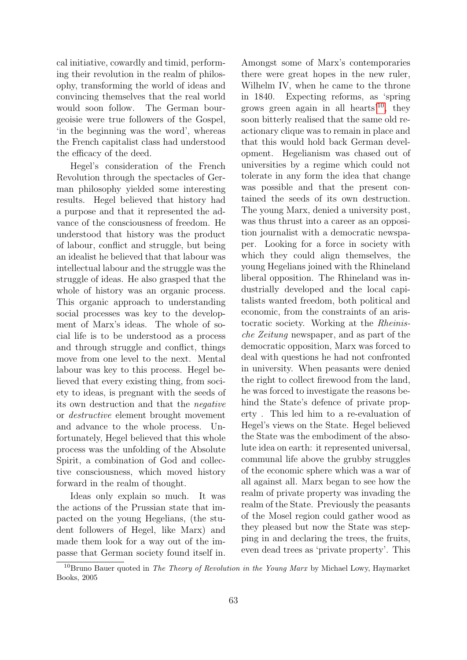cal initiative, cowardly and timid, performing their revolution in the realm of philosophy, transforming the world of ideas and convincing themselves that the real world would soon follow. The German bourgeoisie were true followers of the Gospel, 'in the beginning was the word', whereas the French capitalist class had understood the efficacy of the deed.

Hegel's consideration of the French Revolution through the spectacles of German philosophy yielded some interesting results. Hegel believed that history had a purpose and that it represented the advance of the consciousness of freedom. He understood that history was the product of labour, conflict and struggle, but being an idealist he believed that that labour was intellectual labour and the struggle was the struggle of ideas. He also grasped that the whole of history was an organic process. This organic approach to understanding social processes was key to the development of Marx's ideas. The whole of social life is to be understood as a process and through struggle and conflict, things move from one level to the next. Mental labour was key to this process. Hegel believed that every existing thing, from society to ideas, is pregnant with the seeds of its own destruction and that the negative or destructive element brought movement and advance to the whole process. Unfortunately, Hegel believed that this whole process was the unfolding of the Absolute Spirit, a combination of God and collective consciousness, which moved history forward in the realm of thought.

Ideas only explain so much. It was the actions of the Prussian state that impacted on the young Hegelians, (the student followers of Hegel, like Marx) and made them look for a way out of the impasse that German society found itself in.

Amongst some of Marx's contemporaries there were great hopes in the new ruler, Wilhelm IV, when he came to the throne in 1840. Expecting reforms, as 'spring grows green again in all hearts'[10](#page-3-0), they soon bitterly realised that the same old reactionary clique was to remain in place and that this would hold back German development. Hegelianism was chased out of universities by a regime which could not tolerate in any form the idea that change was possible and that the present contained the seeds of its own destruction. The young Marx, denied a university post, was thus thrust into a career as an opposition journalist with a democratic newspaper. Looking for a force in society with which they could align themselves, the young Hegelians joined with the Rhineland liberal opposition. The Rhineland was industrially developed and the local capitalists wanted freedom, both political and economic, from the constraints of an aristocratic society. Working at the Rheinische Zeitung newspaper, and as part of the democratic opposition, Marx was forced to deal with questions he had not confronted in university. When peasants were denied the right to collect firewood from the land, he was forced to investigate the reasons behind the State's defence of private property . This led him to a re-evaluation of Hegel's views on the State. Hegel believed the State was the embodiment of the absolute idea on earth: it represented universal, communal life above the grubby struggles of the economic sphere which was a war of all against all. Marx began to see how the realm of private property was invading the realm of the State. Previously the peasants of the Mosel region could gather wood as they pleased but now the State was stepping in and declaring the trees, the fruits, even dead trees as 'private property'. This

<span id="page-3-0"></span><sup>&</sup>lt;sup>10</sup>Bruno Bauer quoted in *The Theory of Revolution in the Young Marx* by Michael Lowy, Haymarket Books, 2005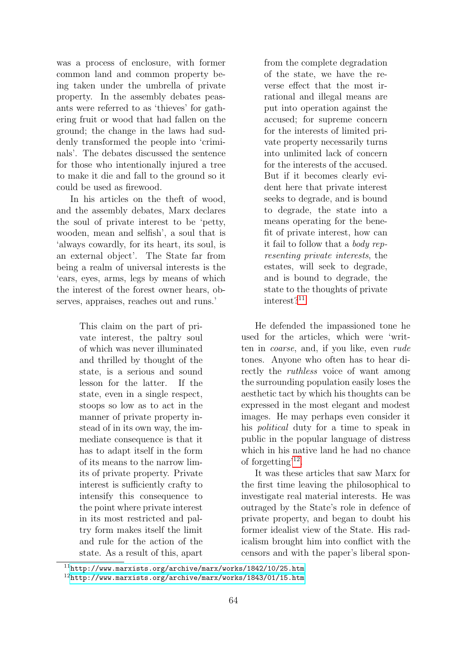was a process of enclosure, with former common land and common property being taken under the umbrella of private property. In the assembly debates peasants were referred to as 'thieves' for gathering fruit or wood that had fallen on the ground; the change in the laws had suddenly transformed the people into 'criminals'. The debates discussed the sentence for those who intentionally injured a tree to make it die and fall to the ground so it could be used as firewood.

In his articles on the theft of wood, and the assembly debates, Marx declares the soul of private interest to be 'petty, wooden, mean and selfish', a soul that is 'always cowardly, for its heart, its soul, is an external object'. The State far from being a realm of universal interests is the 'ears, eyes, arms, legs by means of which the interest of the forest owner hears, observes, appraises, reaches out and runs.'

> This claim on the part of private interest, the paltry soul of which was never illuminated and thrilled by thought of the state, is a serious and sound lesson for the latter. If the state, even in a single respect, stoops so low as to act in the manner of private property instead of in its own way, the immediate consequence is that it has to adapt itself in the form of its means to the narrow limits of private property. Private interest is sufficiently crafty to intensify this consequence to the point where private interest in its most restricted and paltry form makes itself the limit and rule for the action of the state. As a result of this, apart

from the complete degradation of the state, we have the reverse effect that the most irrational and illegal means are put into operation against the accused; for supreme concern for the interests of limited private property necessarily turns into unlimited lack of concern for the interests of the accused. But if it becomes clearly evident here that private interest seeks to degrade, and is bound to degrade, the state into a means operating for the benefit of private interest, how can it fail to follow that a body representing private interests, the estates, will seek to degrade, and is bound to degrade, the state to the thoughts of private interest?[11](#page-4-0)

He defended the impassioned tone he used for the articles, which were 'written in coarse, and, if you like, even rude tones. Anyone who often has to hear directly the ruthless voice of want among the surrounding population easily loses the aesthetic tact by which his thoughts can be expressed in the most elegant and modest images. He may perhaps even consider it his political duty for a time to speak in public in the popular language of distress which in his native land he had no chance of forgetting'[12](#page-4-1) .

It was these articles that saw Marx for the first time leaving the philosophical to investigate real material interests. He was outraged by the State's role in defence of private property, and began to doubt his former idealist view of the State. His radicalism brought him into conflict with the censors and with the paper's liberal spon-

<span id="page-4-0"></span> $11$ [http://www.marxists.org/archive/marx/works/1842/10/25.htm]( http://www.marxists.org/archive/marx/works/1842/10/25.htm)

<span id="page-4-1"></span><sup>12</sup><http://www.marxists.org/archive/marx/works/1843/01/15.htm>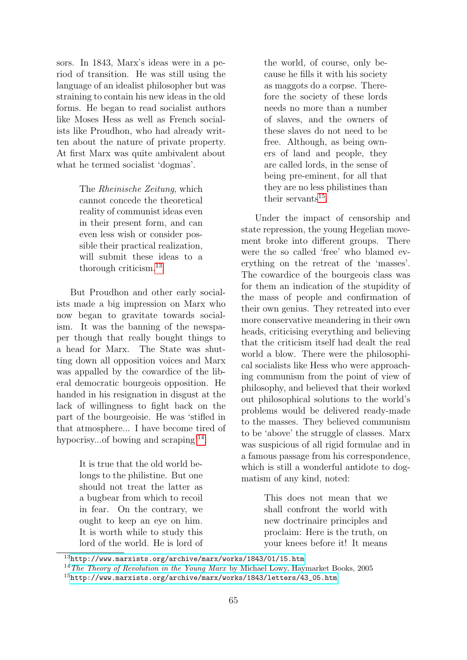sors. In 1843, Marx's ideas were in a period of transition. He was still using the language of an idealist philosopher but was straining to contain his new ideas in the old forms. He began to read socialist authors like Moses Hess as well as French socialists like Proudhon, who had already written about the nature of private property. At first Marx was quite ambivalent about what he termed socialist 'dogmas'.

> The Rheinische Zeitung, which cannot concede the theoretical reality of communist ideas even in their present form, and can even less wish or consider possible their practical realization, will submit these ideas to a thorough criticism.[13](#page-5-0)

But Proudhon and other early socialists made a big impression on Marx who now began to gravitate towards socialism. It was the banning of the newspaper though that really bought things to a head for Marx. The State was shutting down all opposition voices and Marx was appalled by the cowardice of the liberal democratic bourgeois opposition. He handed in his resignation in disgust at the lack of willingness to fight back on the part of the bourgeoisie. He was 'stifled in that atmosphere... I have become tired of hypocrisy...of bowing and scraping<sup>'[14](#page-5-1)</sup>.

> It is true that the old world belongs to the philistine. But one should not treat the latter as a bugbear from which to recoil in fear. On the contrary, we ought to keep an eye on him. It is worth while to study this lord of the world. He is lord of

the world, of course, only because he fills it with his society as maggots do a corpse. Therefore the society of these lords needs no more than a number of slaves, and the owners of these slaves do not need to be free. Although, as being owners of land and people, they are called lords, in the sense of being pre-eminent, for all that they are no less philistines than their servants<sup>[15](#page-5-2)</sup>.

Under the impact of censorship and state repression, the young Hegelian movement broke into different groups. There were the so called 'free' who blamed everything on the retreat of the 'masses'. The cowardice of the bourgeois class was for them an indication of the stupidity of the mass of people and confirmation of their own genius. They retreated into ever more conservative meandering in their own heads, criticising everything and believing that the criticism itself had dealt the real world a blow. There were the philosophical socialists like Hess who were approaching communism from the point of view of philosophy, and believed that their worked out philosophical solutions to the world's problems would be delivered ready-made to the masses. They believed communism to be 'above' the struggle of classes. Marx was suspicious of all rigid formulae and in a famous passage from his correspondence, which is still a wonderful antidote to dogmatism of any kind, noted:

> This does not mean that we shall confront the world with new doctrinaire principles and proclaim: Here is the truth, on your knees before it! It means

<span id="page-5-0"></span> $13$ <http://www.marxists.org/archive/marx/works/1843/01/15.htm>

<span id="page-5-1"></span> $14$  The Theory of Revolution in the Young Marx by Michael Lowy, Haymarket Books, 2005

<span id="page-5-2"></span><sup>15</sup>[http://www.marxists.org/archive/marx/works/1843/letters/43\\_05.htm]( http://www.marxists.org/archive/marx/works/1843/letters/43_05.htm)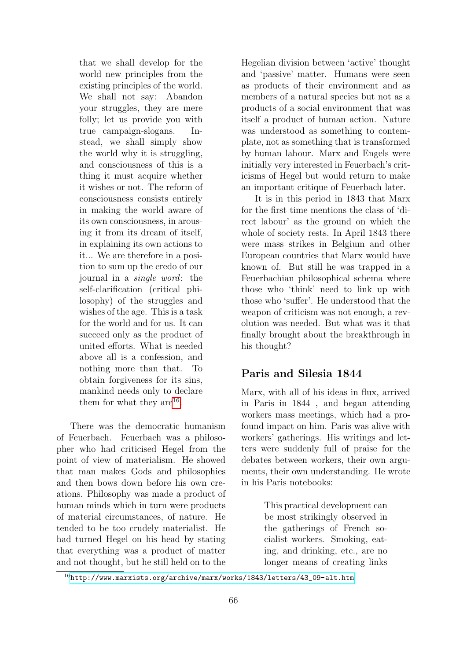that we shall develop for the world new principles from the existing principles of the world. We shall not say: Abandon your struggles, they are mere folly; let us provide you with true campaign-slogans. Instead, we shall simply show the world why it is struggling, and consciousness of this is a thing it must acquire whether it wishes or not. The reform of consciousness consists entirely in making the world aware of its own consciousness, in arousing it from its dream of itself, in explaining its own actions to it... We are therefore in a position to sum up the credo of our journal in a single word: the self-clarification (critical philosophy) of the struggles and wishes of the age. This is a task for the world and for us. It can succeed only as the product of united efforts. What is needed above all is a confession, and nothing more than that. To obtain forgiveness for its sins, mankind needs only to declare them for what they are  $16$ .

There was the democratic humanism of Feuerbach. Feuerbach was a philosopher who had criticised Hegel from the point of view of materialism. He showed that man makes Gods and philosophies and then bows down before his own creations. Philosophy was made a product of human minds which in turn were products of material circumstances, of nature. He tended to be too crudely materialist. He had turned Hegel on his head by stating that everything was a product of matter and not thought, but he still held on to the Hegelian division between 'active' thought and 'passive' matter. Humans were seen as products of their environment and as members of a natural species but not as a products of a social environment that was itself a product of human action. Nature was understood as something to contemplate, not as something that is transformed by human labour. Marx and Engels were initially very interested in Feuerbach's criticisms of Hegel but would return to make an important critique of Feuerbach later.

It is in this period in 1843 that Marx for the first time mentions the class of 'direct labour' as the ground on which the whole of society rests. In April 1843 there were mass strikes in Belgium and other European countries that Marx would have known of. But still he was trapped in a Feuerbachian philosophical schema where those who 'think' need to link up with those who 'suffer'. He understood that the weapon of criticism was not enough, a revolution was needed. But what was it that finally brought about the breakthrough in his thought?

## Paris and Silesia 1844

Marx, with all of his ideas in flux, arrived in Paris in 1844 , and began attending workers mass meetings, which had a profound impact on him. Paris was alive with workers' gatherings. His writings and letters were suddenly full of praise for the debates between workers, their own arguments, their own understanding. He wrote in his Paris notebooks:

> This practical development can be most strikingly observed in the gatherings of French socialist workers. Smoking, eating, and drinking, etc., are no longer means of creating links

<span id="page-6-0"></span> $16$ [http://www.marxists.org/archive/marx/works/1843/letters/43\\_09-alt.htm](http://www.marxists.org/archive/marx/works/1843/letters/43_09-alt.htm )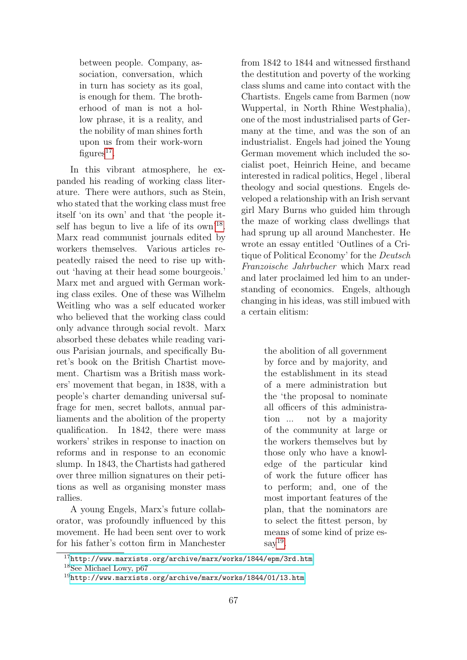between people. Company, association, conversation, which in turn has society as its goal, is enough for them. The brotherhood of man is not a hollow phrase, it is a reality, and the nobility of man shines forth upon us from their work-worn figures $^{17}$  $^{17}$  $^{17}$ .

In this vibrant atmosphere, he expanded his reading of working class literature. There were authors, such as Stein, who stated that the working class must free itself 'on its own' and that 'the people it-self has begun to live a life of its own<sup>'[18](#page-7-1)</sup>. Marx read communist journals edited by workers themselves. Various articles repeatedly raised the need to rise up without 'having at their head some bourgeois.' Marx met and argued with German working class exiles. One of these was Wilhelm Weitling who was a self educated worker who believed that the working class could only advance through social revolt. Marx absorbed these debates while reading various Parisian journals, and specifically Buret's book on the British Chartist movement. Chartism was a British mass workers' movement that began, in 1838, with a people's charter demanding universal suffrage for men, secret ballots, annual parliaments and the abolition of the property qualification. In 1842, there were mass workers' strikes in response to inaction on reforms and in response to an economic slump. In 1843, the Chartists had gathered over three million signatures on their petitions as well as organising monster mass rallies.

A young Engels, Marx's future collaborator, was profoundly influenced by this movement. He had been sent over to work for his father's cotton firm in Manchester

from 1842 to 1844 and witnessed firsthand the destitution and poverty of the working class slums and came into contact with the Chartists. Engels came from Barmen (now Wuppertal, in North Rhine Westphalia), one of the most industrialised parts of Germany at the time, and was the son of an industrialist. Engels had joined the Young German movement which included the socialist poet, Heinrich Heine, and became interested in radical politics, Hegel , liberal theology and social questions. Engels developed a relationship with an Irish servant girl Mary Burns who guided him through the maze of working class dwellings that had sprung up all around Manchester. He wrote an essay entitled 'Outlines of a Critique of Political Economy' for the Deutsch Franzoische Jahrbucher which Marx read and later proclaimed led him to an understanding of economics. Engels, although changing in his ideas, was still imbued with a certain elitism:

> the abolition of all government by force and by majority, and the establishment in its stead of a mere administration but the 'the proposal to nominate all officers of this administration ... not by a majority of the community at large or the workers themselves but by those only who have a knowledge of the particular kind of work the future officer has to perform; and, one of the most important features of the plan, that the nominators are to select the fittest person, by means of some kind of prize es- $\text{say}^{19}$  $\text{say}^{19}$  $\text{say}^{19}$ .

<span id="page-7-1"></span><span id="page-7-0"></span> $17$ <http://www.marxists.org/archive/marx/works/1844/epm/3rd.htm> <sup>18</sup>See Michael Lowy, p67

<span id="page-7-2"></span> $19$ [http://www.marxists.org/archive/marx/works/1844/01/13.htm](http://www.marxists.org/archive/marx/works/1844/01/13.htm )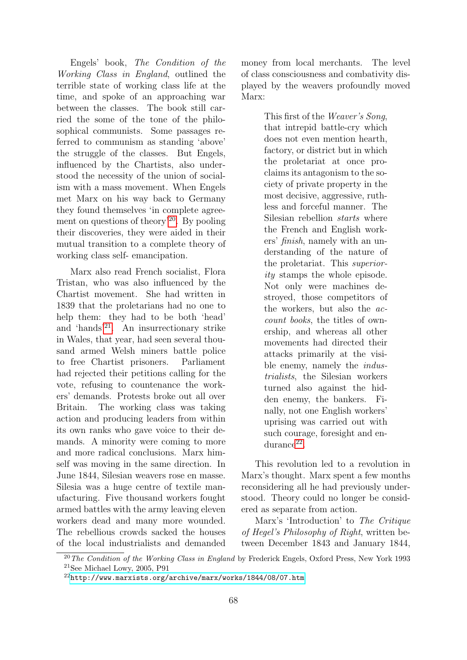Engels' book, The Condition of the Working Class in England, outlined the terrible state of working class life at the time, and spoke of an approaching war between the classes. The book still carried the some of the tone of the philosophical communists. Some passages referred to communism as standing 'above' the struggle of the classes. But Engels, influenced by the Chartists, also understood the necessity of the union of socialism with a mass movement. When Engels met Marx on his way back to Germany they found themselves 'in complete agree-ment on questions of theory<sup>'[20](#page-8-0)</sup>. By pooling their discoveries, they were aided in their mutual transition to a complete theory of working class self- emancipation.

Marx also read French socialist, Flora Tristan, who was also influenced by the Chartist movement. She had written in 1839 that the proletarians had no one to help them: they had to be both 'head' and 'hands'[21](#page-8-1). An insurrectionary strike in Wales, that year, had seen several thousand armed Welsh miners battle police to free Chartist prisoners. Parliament had rejected their petitions calling for the vote, refusing to countenance the workers' demands. Protests broke out all over Britain. The working class was taking action and producing leaders from within its own ranks who gave voice to their demands. A minority were coming to more and more radical conclusions. Marx himself was moving in the same direction. In June 1844, Silesian weavers rose en masse. Silesia was a huge centre of textile manufacturing. Five thousand workers fought armed battles with the army leaving eleven workers dead and many more wounded. The rebellious crowds sacked the houses of the local industrialists and demanded

money from local merchants. The level of class consciousness and combativity displayed by the weavers profoundly moved Marx:

> This first of the Weaver's Song, that intrepid battle-cry which does not even mention hearth, factory, or district but in which the proletariat at once proclaims its antagonism to the society of private property in the most decisive, aggressive, ruthless and forceful manner. The Silesian rebellion starts where the French and English workers' finish, namely with an understanding of the nature of the proletariat. This superiority stamps the whole episode. Not only were machines destroyed, those competitors of the workers, but also the account books, the titles of ownership, and whereas all other movements had directed their attacks primarily at the visible enemy, namely the industrialists, the Silesian workers turned also against the hidden enemy, the bankers. Finally, not one English workers' uprising was carried out with such courage, foresight and en- $durance<sup>22</sup>$  $durance<sup>22</sup>$  $durance<sup>22</sup>$ .

This revolution led to a revolution in Marx's thought. Marx spent a few months reconsidering all he had previously understood. Theory could no longer be considered as separate from action.

Marx's 'Introduction' to The Critique of Hegel's Philosophy of Right, written between December 1843 and January 1844,

<span id="page-8-1"></span><span id="page-8-0"></span><sup>&</sup>lt;sup>20</sup>The Condition of the Working Class in England by Frederick Engels, Oxford Press, New York 1993 <sup>21</sup>See Michael Lowy, 2005, P91

<span id="page-8-2"></span><sup>22</sup><http://www.marxists.org/archive/marx/works/1844/08/07.htm>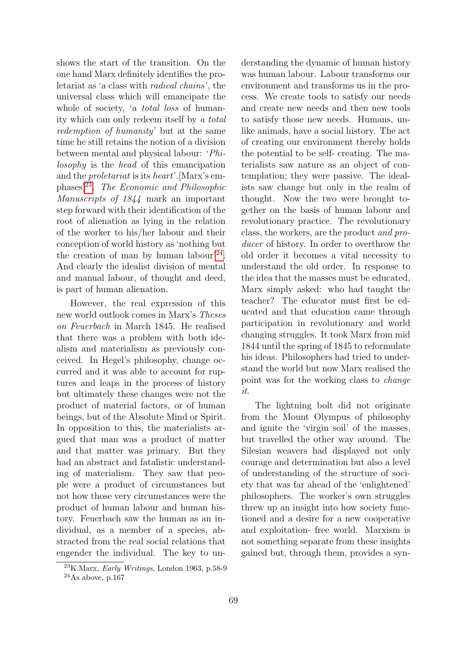shows the start of the transition. On the one hand Marx definitely identifies the proletariat as 'a class with radical chains', the universal class which will emancipate the whole of society, 'a *total loss* of humanity which can only redeem itself by a total redemption of humanity' but at the same time he still retains the notion of a division between mental and physical labour: 'Philosophy is the head of this emancipation and the proletariat is its heart'.[Marx's em-phases<sup>[[23](#page-9-0)</sup>. The Economic and Philosophic Manuscripts of  $1844$  mark an important step forward with their identification of the root of alienation as lying in the relation of the worker to his/her labour and their conception of world history as 'nothing but the creation of man by human labour<sup>'[24](#page-9-1)</sup>. And clearly the idealist division of mental and manual labour, of thought and deed, is part of human alienation.

However, the real expression of this new world outlook comes in Marx's Theses on Feuerbach in March 1845. He realised that there was a problem with both idealism and materialism as previously conceived. In Hegel's philosophy, change occurred and it was able to account for ruptures and leaps in the process of history but ultimately these changes were not the product of material factors, or of human beings, but of the Absolute Mind or Spirit. In opposition to this, the materialists argued that man was a product of matter and that matter was primary. But they had an abstract and fatalistic understanding of materialism. They saw that people were a product of circumstances but not how those very circumstances were the product of human labour and human history. Feuerbach saw the human as an individual, as a member of a species, abstracted from the real social relations that engender the individual. The key to un-

<span id="page-9-1"></span><span id="page-9-0"></span> $^{23}$ K.Marx, *Early Writings*, London 1963, p.58-9  $24As$  above, p.167

derstanding the dynamic of human history was human labour. Labour transforms our environment and transforms us in the process. We create tools to satisfy our needs and create new needs and then new tools to satisfy those new needs. Humans, unlike animals, have a social history. The act of creating our environment thereby holds the potential to be self- creating. The materialists saw nature as an object of contemplation; they were passive. The idealists saw change but only in the realm of thought. Now the two were brought together on the basis of human labour and revolutionary practice. The revolutionary class, the workers, are the product and producer of history. In order to overthrow the old order it becomes a vital necessity to understand the old order. In response to the idea that the masses must be educated, Marx simply asked: who had taught the teacher? The educator must first be educated and that education came through participation in revolutionary and world changing struggles. It took Marx from mid 1844 until the spring of 1845 to reformulate his ideas. Philosophers had tried to understand the world but now Marx realised the point was for the working class to change it.

The lightning bolt did not originate from the Mount Olympus of philosophy and ignite the 'virgin soil' of the masses, but travelled the other way around. The Silesian weavers had displayed not only courage and determination but also a level of understanding of the structure of society that was far ahead of the 'enlightened' philosophers. The worker's own struggles threw up an insight into how society functioned and a desire for a new cooperative and exploitation- free world. Marxism is not something separate from these insights gained but, through them, provides a syn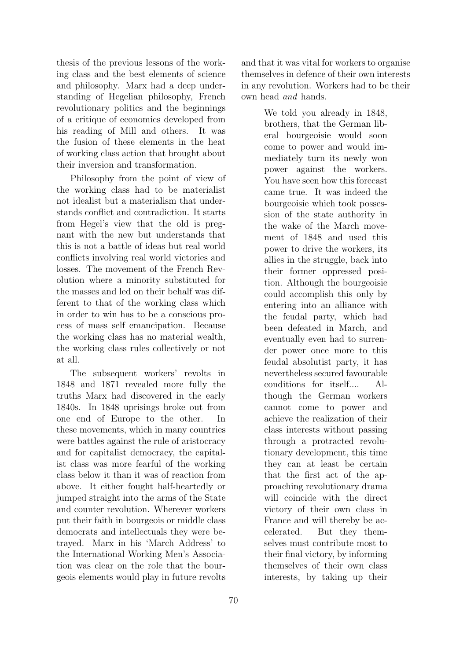thesis of the previous lessons of the working class and the best elements of science and philosophy. Marx had a deep understanding of Hegelian philosophy, French revolutionary politics and the beginnings of a critique of economics developed from his reading of Mill and others. It was the fusion of these elements in the heat of working class action that brought about their inversion and transformation.

Philosophy from the point of view of the working class had to be materialist not idealist but a materialism that understands conflict and contradiction. It starts from Hegel's view that the old is pregnant with the new but understands that this is not a battle of ideas but real world conflicts involving real world victories and losses. The movement of the French Revolution where a minority substituted for the masses and led on their behalf was different to that of the working class which in order to win has to be a conscious process of mass self emancipation. Because the working class has no material wealth, the working class rules collectively or not at all.

The subsequent workers' revolts in 1848 and 1871 revealed more fully the truths Marx had discovered in the early 1840s. In 1848 uprisings broke out from one end of Europe to the other. In these movements, which in many countries were battles against the rule of aristocracy and for capitalist democracy, the capitalist class was more fearful of the working class below it than it was of reaction from above. It either fought half-heartedly or jumped straight into the arms of the State and counter revolution. Wherever workers put their faith in bourgeois or middle class democrats and intellectuals they were betrayed. Marx in his 'March Address' to the International Working Men's Association was clear on the role that the bourgeois elements would play in future revolts and that it was vital for workers to organise themselves in defence of their own interests in any revolution. Workers had to be their own head and hands.

> We told you already in 1848, brothers, that the German liberal bourgeoisie would soon come to power and would immediately turn its newly won power against the workers. You have seen how this forecast came true. It was indeed the bourgeoisie which took possession of the state authority in the wake of the March movement of 1848 and used this power to drive the workers, its allies in the struggle, back into their former oppressed position. Although the bourgeoisie could accomplish this only by entering into an alliance with the feudal party, which had been defeated in March, and eventually even had to surrender power once more to this feudal absolutist party, it has nevertheless secured favourable conditions for itself.... Although the German workers cannot come to power and achieve the realization of their class interests without passing through a protracted revolutionary development, this time they can at least be certain that the first act of the approaching revolutionary drama will coincide with the direct victory of their own class in France and will thereby be accelerated. But they themselves must contribute most to their final victory, by informing themselves of their own class interests, by taking up their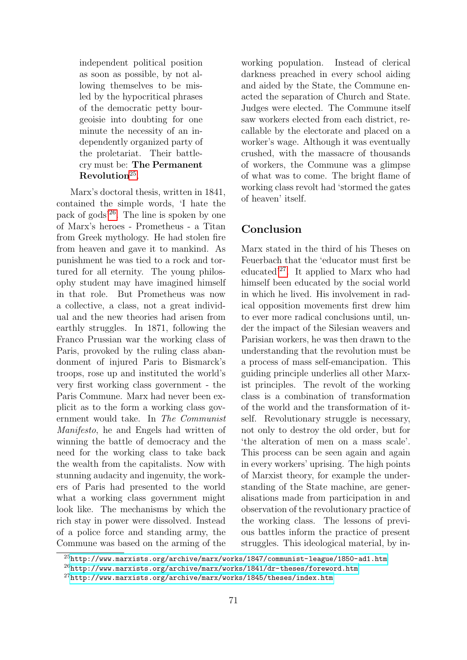independent political position as soon as possible, by not allowing themselves to be misled by the hypocritical phrases of the democratic petty bourgeoisie into doubting for one minute the necessity of an independently organized party of the proletariat. Their battlecry must be: The Permanent Revolution<sup>[25](#page-11-0)</sup>.

Marx's doctoral thesis, written in 1841, contained the simple words, 'I hate the pack of gods'[26](#page-11-1). The line is spoken by one of Marx's heroes - Prometheus - a Titan from Greek mythology. He had stolen fire from heaven and gave it to mankind. As punishment he was tied to a rock and tortured for all eternity. The young philosophy student may have imagined himself in that role. But Prometheus was now a collective, a class, not a great individual and the new theories had arisen from earthly struggles. In 1871, following the Franco Prussian war the working class of Paris, provoked by the ruling class abandonment of injured Paris to Bismarck's troops, rose up and instituted the world's very first working class government - the Paris Commune. Marx had never been explicit as to the form a working class government would take. In The Communist Manifesto, he and Engels had written of winning the battle of democracy and the need for the working class to take back the wealth from the capitalists. Now with stunning audacity and ingenuity, the workers of Paris had presented to the world what a working class government might look like. The mechanisms by which the rich stay in power were dissolved. Instead of a police force and standing army, the Commune was based on the arming of the

working population. Instead of clerical darkness preached in every school aiding and aided by the State, the Commune enacted the separation of Church and State. Judges were elected. The Commune itself saw workers elected from each district, recallable by the electorate and placed on a worker's wage. Although it was eventually crushed, with the massacre of thousands of workers, the Commune was a glimpse of what was to come. The bright flame of working class revolt had 'stormed the gates of heaven' itself.

### Conclusion

Marx stated in the third of his Theses on Feuerbach that the 'educator must first be educated'[27](#page-11-2). It applied to Marx who had himself been educated by the social world in which he lived. His involvement in radical opposition movements first drew him to ever more radical conclusions until, under the impact of the Silesian weavers and Parisian workers, he was then drawn to the understanding that the revolution must be a process of mass self-emancipation. This guiding principle underlies all other Marxist principles. The revolt of the working class is a combination of transformation of the world and the transformation of itself. Revolutionary struggle is necessary, not only to destroy the old order, but for 'the alteration of men on a mass scale'. This process can be seen again and again in every workers' uprising. The high points of Marxist theory, for example the understanding of the State machine, are generalisations made from participation in and observation of the revolutionary practice of the working class. The lessons of previous battles inform the practice of present struggles. This ideological material, by in-

<span id="page-11-0"></span> $^{25}$ <http://www.marxists.org/archive/marx/works/1847/communist-league/1850-ad1.htm>

<span id="page-11-1"></span> $^{26}$ <http://www.marxists.org/archive/marx/works/1841/dr-theses/foreword.htm>

<span id="page-11-2"></span><sup>27</sup><http://www.marxists.org/archive/marx/works/1845/theses/index.htm>